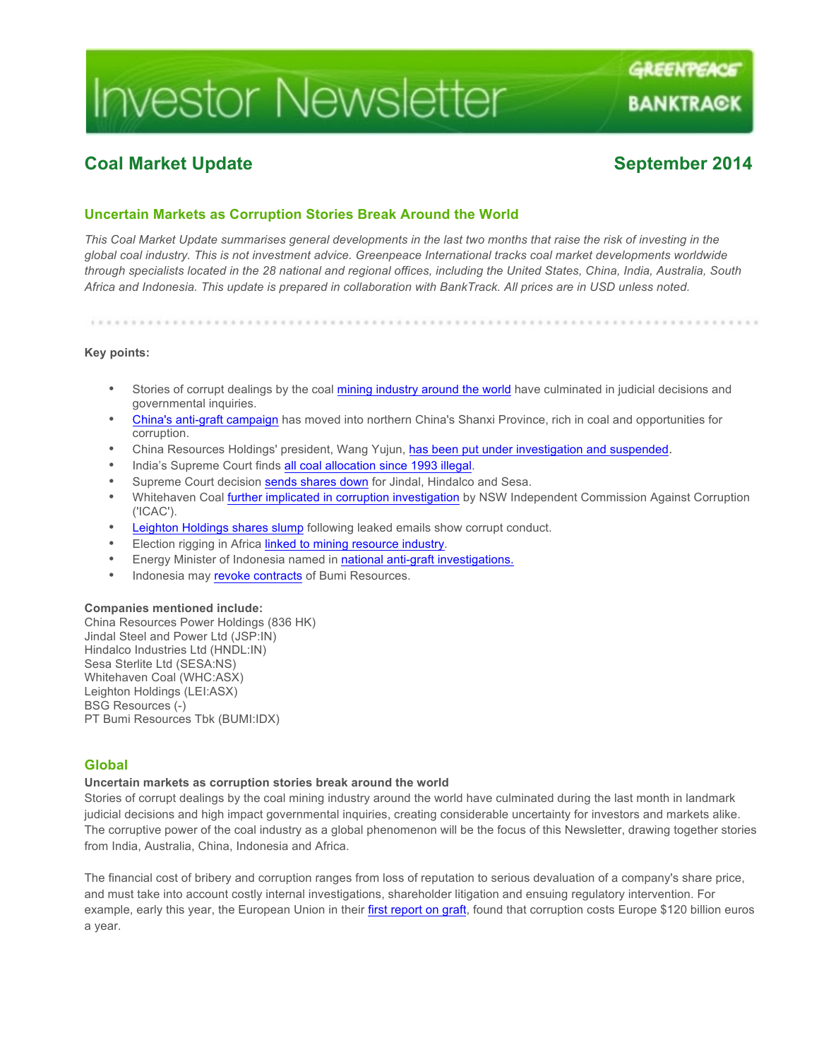# **Investor Newsletter**

## **Coal Market Update September 2014**

GREENPEACE

BANKTRAGK

### **Uncertain Markets as Corruption Stories Break Around the World**

*This Coal Market Update summarises general developments in the last two months that raise the risk of investing in the global coal industry. This is not investment advice. Greenpeace International tracks coal market developments worldwide through specialists located in the 28 national and regional offices, including the United States, China, India, Australia, South Africa and Indonesia. This update is prepared in collaboration with BankTrack. All prices are in USD unless noted.*

**Key points:**

- Stories of corrupt dealings by the coal mining industry around the world have culminated in judicial decisions and governmental inquiries.
- China's anti-graft campaign has moved into northern China's Shanxi Province, rich in coal and opportunities for corruption.
- China Resources Holdings' president, Wang Yujun, has been put under investigation and suspended.
- India's Supreme Court finds all coal allocation since 1993 illegal.
- Supreme Court decision sends shares down for Jindal, Hindalco and Sesa.
- Whitehaven Coal further implicated in corruption investigation by NSW Independent Commission Against Corruption ('ICAC').
- Leighton Holdings shares slump following leaked emails show corrupt conduct.
- Election rigging in Africa linked to mining resource industry.
- Energy Minister of Indonesia named in national anti-graft investigations.
- Indonesia may revoke contracts of Bumi Resources.

#### **Companies mentioned include:**

China Resources Power Holdings (836 HK) Jindal Steel and Power Ltd (JSP:IN) Hindalco Industries Ltd (HNDL:IN) Sesa Sterlite Ltd (SESA:NS) Whitehaven Coal (WHC:ASX) Leighton Holdings (LEI:ASX) BSG Resources (-) PT Bumi Resources Tbk (BUMI:IDX)

#### **Global**

#### **Uncertain markets as corruption stories break around the world**

Stories of corrupt dealings by the coal mining industry around the world have culminated during the last month in landmark judicial decisions and high impact governmental inquiries, creating considerable uncertainty for investors and markets alike. The corruptive power of the coal industry as a global phenomenon will be the focus of this Newsletter, drawing together stories from India, Australia, China, Indonesia and Africa.

The financial cost of bribery and corruption ranges from loss of reputation to serious devaluation of a company's share price, and must take into account costly internal investigations, shareholder litigation and ensuing regulatory intervention. For example, early this year, the European Union in their first report on graft, found that corruption costs Europe \$120 billion euros a year.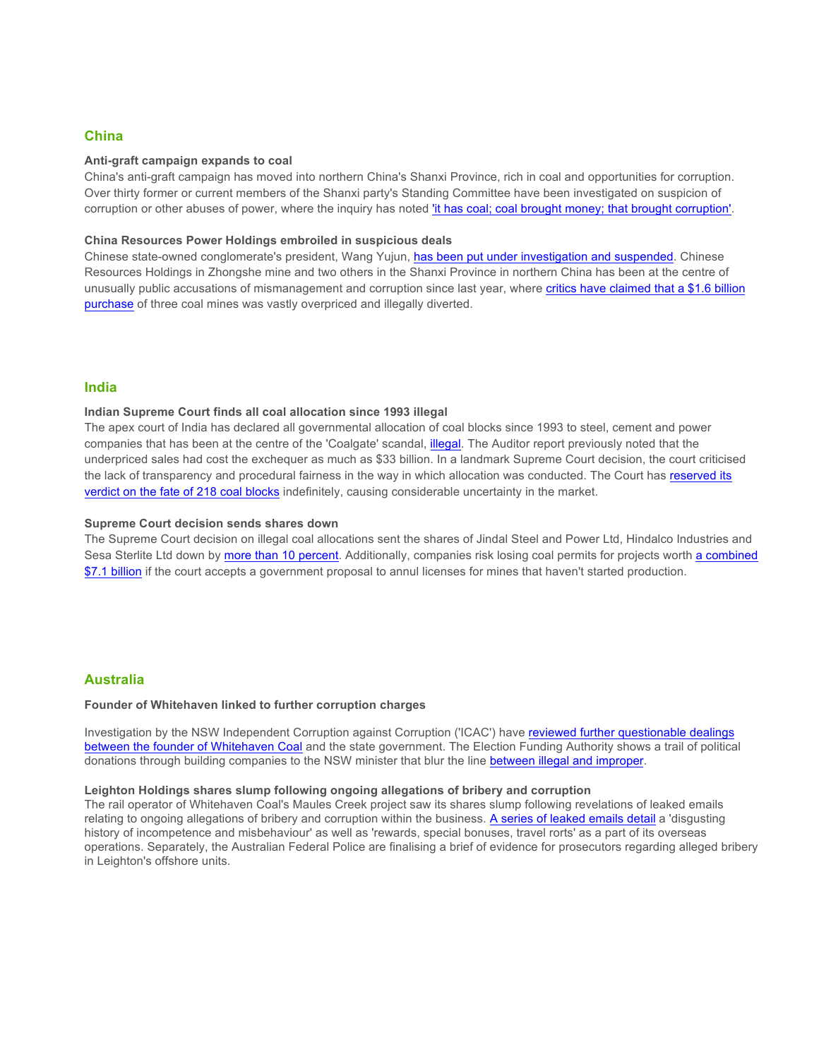#### **China**

#### **Anti-graft campaign expands to coal**

China's anti-graft campaign has moved into northern China's Shanxi Province, rich in coal and opportunities for corruption. Over thirty former or current members of the Shanxi party's Standing Committee have been investigated on suspicion of corruption or other abuses of power, where the inquiry has noted 'it has coal; coal brought money; that brought corruption'.

#### **China Resources Power Holdings embroiled in suspicious deals**

Chinese state-owned conglomerate's president, Wang Yujun, has been put under investigation and suspended. Chinese Resources Holdings in Zhongshe mine and two others in the Shanxi Province in northern China has been at the centre of unusually public accusations of mismanagement and corruption since last year, where critics have claimed that a \$1.6 billion purchase of three coal mines was vastly overpriced and illegally diverted.

#### **India**

#### **Indian Supreme Court finds all coal allocation since 1993 illegal**

The apex court of India has declared all governmental allocation of coal blocks since 1993 to steel, cement and power companies that has been at the centre of the 'Coalgate' scandal, illegal. The Auditor report previously noted that the underpriced sales had cost the exchequer as much as \$33 billion. In a landmark Supreme Court decision, the court criticised the lack of transparency and procedural fairness in the way in which allocation was conducted. The Court has reserved its verdict on the fate of 218 coal blocks indefinitely, causing considerable uncertainty in the market.

#### **Supreme Court decision sends shares down**

The Supreme Court decision on illegal coal allocations sent the shares of Jindal Steel and Power Ltd, Hindalco Industries and Sesa Sterlite Ltd down by more than 10 percent. Additionally, companies risk losing coal permits for projects worth a combined \$7.1 billion if the court accepts a government proposal to annul licenses for mines that haven't started production.

#### **Australia**

#### **Founder of Whitehaven linked to further corruption charges**

Investigation by the NSW Independent Corruption against Corruption ('ICAC') have reviewed further questionable dealings between the founder of Whitehaven Coal and the state government. The Election Funding Authority shows a trail of political donations through building companies to the NSW minister that blur the line between illegal and improper.

#### **Leighton Holdings shares slump following ongoing allegations of bribery and corruption**

The rail operator of Whitehaven Coal's Maules Creek project saw its shares slump following revelations of leaked emails relating to ongoing allegations of bribery and corruption within the business. A series of leaked emails detail a 'disgusting history of incompetence and misbehaviour' as well as 'rewards, special bonuses, travel rorts' as a part of its overseas operations. Separately, the Australian Federal Police are finalising a brief of evidence for prosecutors regarding alleged bribery in Leighton's offshore units.